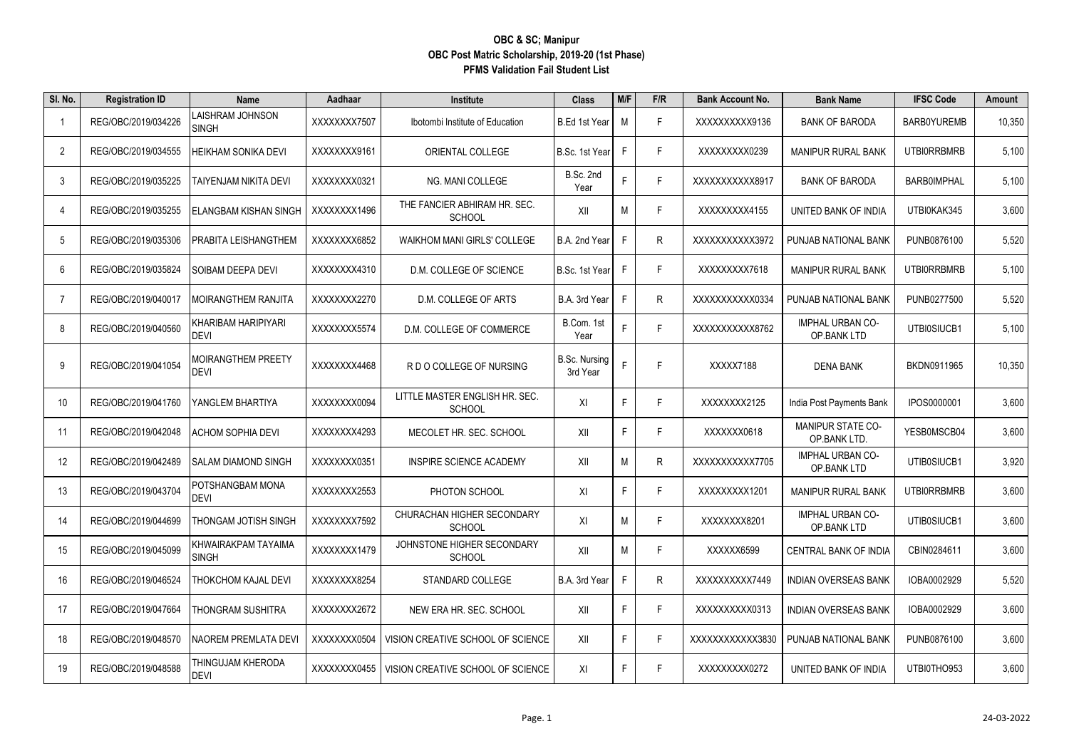| SI. No.        | <b>Registration ID</b> | <b>Name</b>                         | Aadhaar      | Institute                                       | <b>Class</b>                     | M/F | F/R | <b>Bank Account No.</b> | <b>Bank Name</b>                         | <b>IFSC Code</b>   | Amount |
|----------------|------------------------|-------------------------------------|--------------|-------------------------------------------------|----------------------------------|-----|-----|-------------------------|------------------------------------------|--------------------|--------|
|                | REG/OBC/2019/034226    | AISHRAM JOHNSON<br><b>SINGH</b>     | XXXXXXX7507  | Ibotombi Institute of Education                 | B.Ed 1st Year                    | M   | F.  | XXXXXXXXX9136           | <b>BANK OF BARODA</b>                    | BARB0YUREMB        | 10,350 |
| 2              | REG/OBC/2019/034555    | HEIKHAM SONIKA DEVI                 | XXXXXXX9161  | ORIENTAL COLLEGE                                | B.Sc. 1st Year                   | F   | F.  | XXXXXXXXX0239           | <b>MANIPUR RURAL BANK</b>                | UTBI0RRBMRB        | 5,100  |
| 3              | REG/OBC/2019/035225    | TAIYENJAM NIKITA DEVI               | XXXXXXX0321  | NG. MANI COLLEGE                                | B.Sc. 2nd<br>Year                | F   | F.  | XXXXXXXXXX8917          | <b>BANK OF BARODA</b>                    | <b>BARB0IMPHAL</b> | 5,100  |
| 4              | REG/OBC/2019/035255    | ELANGBAM KISHAN SINGH               | XXXXXXX1496  | THE FANCIER ABHIRAM HR. SEC.<br><b>SCHOOL</b>   | XII                              | М   | F   | XXXXXXXX4155            | UNITED BANK OF INDIA                     | UTBI0KAK345        | 3,600  |
| 5              | REG/OBC/2019/035306    | PRABITA LEISHANGTHEM                | XXXXXXX6852  | <b>WAIKHOM MANI GIRLS' COLLEGE</b>              | B.A. 2nd Year                    | F   | R.  | XXXXXXXXXX3972          | PUNJAB NATIONAL BANK                     | PUNB0876100        | 5,520  |
| -6             | REG/OBC/2019/035824    | SOIBAM DEEPA DEVI                   | XXXXXXX4310  | D.M. COLLEGE OF SCIENCE                         | B.Sc. 1st Year                   | F   | F.  | XXXXXXXX7618            | <b>MANIPUR RURAL BANK</b>                | <b>UTBIORRBMRB</b> | 5,100  |
| $\overline{7}$ | REG/OBC/2019/040017    | MOIRANGTHEM RANJITA                 | XXXXXXX2270  | D.M. COLLEGE OF ARTS                            | B.A. 3rd Year                    | F   | R.  | XXXXXXXXXXX0334         | PUNJAB NATIONAL BANK                     | PUNB0277500        | 5,520  |
| 8              | REG/OBC/2019/040560    | KHARIBAM HARIPIYARI<br><b>DEVI</b>  | XXXXXXX5574  | D.M. COLLEGE OF COMMERCE                        | B.Com. 1st<br>Year               | F   | F.  | XXXXXXXXXX8762          | IMPHAL URBAN CO-<br>OP.BANK LTD          | UTBI0SIUCB1        | 5,100  |
| 9              | REG/OBC/2019/041054    | MOIRANGTHEM PREETY<br>DEVI          | XXXXXXX4468  | R D O COLLEGE OF NURSING                        | <b>B.Sc. Nursing</b><br>3rd Year | F   | F   | XXXXX7188               | <b>DENA BANK</b>                         | BKDN0911965        | 10,350 |
| 10             | REG/OBC/2019/041760    | YANGLEM BHARTIYA                    | XXXXXXXX0094 | LITTLE MASTER ENGLISH HR. SEC.<br><b>SCHOOL</b> | XI                               | F.  | F.  | XXXXXXXX2125            | India Post Payments Bank                 | IPOS0000001        | 3,600  |
| 11             | REG/OBC/2019/042048    | ACHOM SOPHIA DEVI                   | XXXXXXX4293  | MECOLET HR. SEC. SCHOOL                         | XII                              | F   | F   | XXXXXX0618              | <b>MANIPUR STATE CO-</b><br>OP BANK LTD. | YESB0MSCB04        | 3,600  |
| 12             | REG/OBC/2019/042489    | SALAM DIAMOND SINGH                 | XXXXXXX0351  | INSPIRE SCIENCE ACADEMY                         | XII                              | М   | R   | XXXXXXXXXX7705          | IMPHAL URBAN CO-<br>OP BANK LTD          | UTIB0SIUCB1        | 3,920  |
| 13             | REG/OBC/2019/043704    | POTSHANGBAM MONA<br><b>DEVI</b>     | XXXXXXX2553  | PHOTON SCHOOL                                   | XI                               | F   | F   | XXXXXXXX1201            | <b>MANIPUR RURAL BANK</b>                | <b>UTBIORRBMRB</b> | 3,600  |
| 14             | REG/OBC/2019/044699    | THONGAM JOTISH SINGH                | XXXXXXX7592  | CHURACHAN HIGHER SECONDARY<br><b>SCHOOL</b>     | XI                               | M   | F.  | XXXXXXXX8201            | IMPHAL URBAN CO-<br>OP BANK LTD          | UTIB0SIUCB1        | 3,600  |
| 15             | REG/OBC/2019/045099    | KHWAIRAKPAM TAYAIMA<br><b>SINGH</b> | XXXXXXX1479  | JOHNSTONE HIGHER SECONDARY<br><b>SCHOOL</b>     | XII                              | M   | F   | XXXXXX6599              | CENTRAL BANK OF INDIA                    | CBIN0284611        | 3,600  |
| 16             | REG/OBC/2019/046524    | THOKCHOM KAJAL DEVI                 | XXXXXXX8254  | STANDARD COLLEGE                                | B.A. 3rd Year                    | E   | R   | XXXXXXXXX7449           | <b>INDIAN OVERSEAS BANK</b>              | IOBA0002929        | 5,520  |
| 17             | REG/OBC/2019/047664    | THONGRAM SUSHITRA                   | XXXXXXX2672  | NEW ERA HR. SEC. SCHOOL                         | XII                              | F   | F.  | XXXXXXXXXX0313          | <b>INDIAN OVERSEAS BANK</b>              | IOBA0002929        | 3,600  |
| 18             | REG/OBC/2019/048570    | NAOREM PREMLATA DEVI                | XXXXXXX0504  | VISION CREATIVE SCHOOL OF SCIENCE               | XII                              | F   | F.  | XXXXXXXXXXX3830         | PUNJAB NATIONAL BANK                     | PUNB0876100        | 3,600  |
| 19             | REG/OBC/2019/048588    | THINGUJAM KHERODA<br><b>DEVI</b>    | XXXXXXXX0455 | VISION CREATIVE SCHOOL OF SCIENCE               | XI                               | F   | F.  | XXXXXXXXX0272           | UNITED BANK OF INDIA                     | UTBI0THO953        | 3.600  |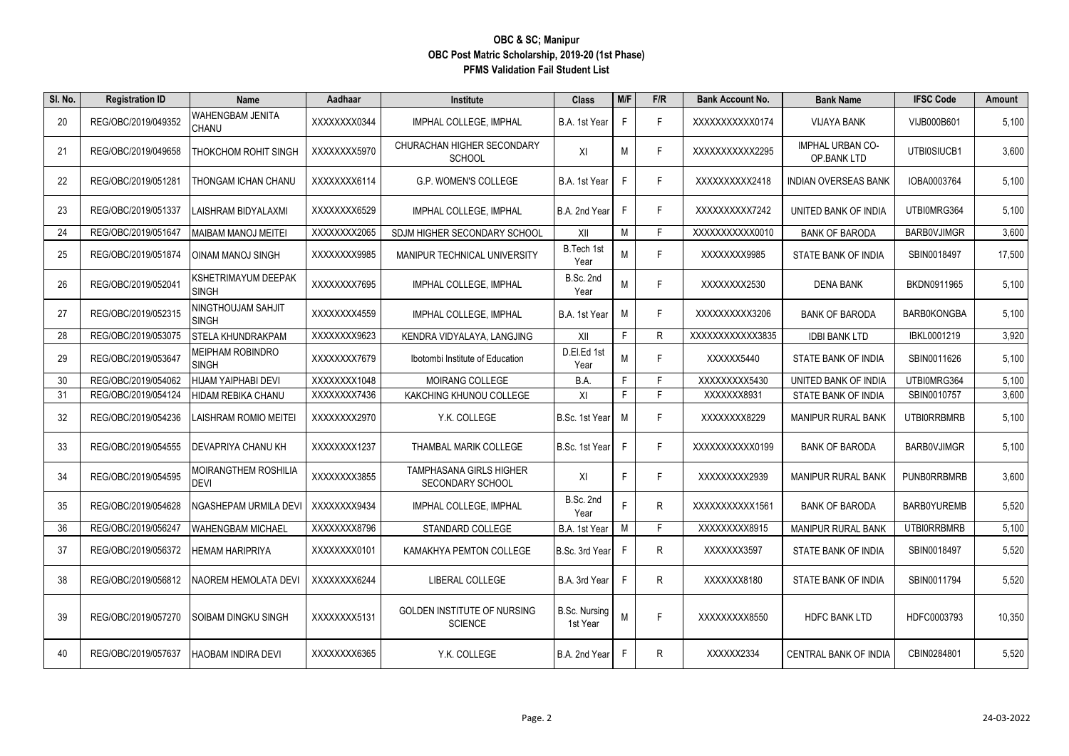| SI. No. | <b>Registration ID</b> | Name                                | Aadhaar      | Institute                                            | <b>Class</b>              | M/F | F/R | <b>Bank Account No.</b> | <b>Bank Name</b>                       | <b>IFSC Code</b>   | <b>Amount</b> |
|---------|------------------------|-------------------------------------|--------------|------------------------------------------------------|---------------------------|-----|-----|-------------------------|----------------------------------------|--------------------|---------------|
| 20      | REG/OBC/2019/049352    | WAHENGBAM JENITA<br>CHANU           | XXXXXXXX0344 | IMPHAL COLLEGE, IMPHAL                               | B.A. 1st Year             | F.  | F.  | XXXXXXXXXX0174          | <b>VIJAYA BANK</b>                     | VIJB000B601        | 5,100         |
| 21      | REG/OBC/2019/049658    | THOKCHOM ROHIT SINGH                | XXXXXXXX5970 | CHURACHAN HIGHER SECONDARY<br><b>SCHOOL</b>          | XI                        | М   | F.  | XXXXXXXXXX2295          | <b>IMPHAL URBAN CO-</b><br>OP BANK LTD | UTBI0SIUCB1        | 3,600         |
| 22      | REG/OBC/2019/051281    | THONGAM ICHAN CHANU                 | XXXXXXX6114  | G.P. WOMEN'S COLLEGE                                 | B.A. 1st Year             | F.  | F.  | XXXXXXXXX2418           | <b>INDIAN OVERSEAS BANK</b>            | IOBA0003764        | 5,100         |
| 23      | REG/OBC/2019/051337    | AISHRAM BIDYALAXMI                  | XXXXXXX6529  | IMPHAL COLLEGE, IMPHAL                               | B.A. 2nd Year             | F.  | F   | XXXXXXXXX7242           | UNITED BANK OF INDIA                   | UTBI0MRG364        | 5,100         |
| 24      | REG/OBC/2019/051647    | MAIBAM MANOJ MEITEI                 | XXXXXXX2065  | SDJM HIGHER SECONDARY SCHOOL                         | XII                       | М   |     | XXXXXXXXXXX0010         | <b>BANK OF BARODA</b>                  | BARB0VJIMGR        | 3,600         |
| 25      | REG/OBC/2019/051874    | OINAM MANOJ SINGH                   | XXXXXXX9985  | MANIPUR TECHNICAL UNIVERSITY                         | B.Tech 1st<br>Year        | M   | F.  | XXXXXXX9985             | STATE BANK OF INDIA                    | SBIN0018497        | 17,500        |
| 26      | REG/OBC/2019/052041    | KSHETRIMAYUM DEEPAK<br><b>SINGH</b> | XXXXXXX7695  | IMPHAL COLLEGE, IMPHAL                               | B.Sc. 2nd<br>Year         | M   | F.  | XXXXXXX2530             | <b>DENA BANK</b>                       | BKDN0911965        | 5,100         |
| 27      | REG/OBC/2019/052315    | NINGTHOUJAM SAHJIT<br><b>SINGH</b>  | XXXXXXX4559  | IMPHAL COLLEGE, IMPHAL                               | B.A. 1st Year             | M   | F.  | XXXXXXXXX3206           | <b>BANK OF BARODA</b>                  | <b>BARB0KONGBA</b> | 5,100         |
| 28      | REG/OBC/2019/053075    | <b>STELA KHUNDRAKPAM</b>            | XXXXXXX9623  | KENDRA VIDYALAYA, LANGJING                           | XII                       | F   | R   | XXXXXXXXXXX3835         | <b>IDBI BANK LTD</b>                   | IBKL0001219        | 3,920         |
| 29      | REG/OBC/2019/053647    | MEIPHAM ROBINDRO<br><b>SINGH</b>    | XXXXXXXX7679 | Ibotombi Institute of Education                      | D.El.Ed 1st<br>Year       | M   | F.  | XXXXXX5440              | STATE BANK OF INDIA                    | SBIN0011626        | 5,100         |
| 30      | REG/OBC/2019/054062    | HIJAM YAIPHABI DEVI                 | XXXXXXX1048  | MOIRANG COLLEGE                                      | B.A.                      | F.  | F   | XXXXXXXX5430            | UNITED BANK OF INDIA                   | UTBI0MRG364        | 5,100         |
| 31      | REG/OBC/2019/054124    | HIDAM REBIKA CHANU                  | XXXXXXX7436  | KAKCHING KHUNOU COLLEGE                              | XI                        | F.  | F   | XXXXXX8931              | STATE BANK OF INDIA                    | SBIN0010757        | 3,600         |
| 32      | REG/OBC/2019/054236    | AISHRAM ROMIO MEITEI                | XXXXXXX2970  | Y.K. COLLEGE                                         | B.Sc. 1st Year            | M   | F.  | XXXXXXXX8229            | <b>MANIPUR RURAL BANK</b>              | UTBI0RRBMRB        | 5,100         |
| 33      | REG/OBC/2019/054555    | DEVAPRIYA CHANU KH                  | XXXXXXX1237  | THAMBAL MARIK COLLEGE                                | B.Sc. 1st Year            | F   | F.  | XXXXXXXXXX0199          | <b>BANK OF BARODA</b>                  | <b>BARBOVJIMGR</b> | 5,100         |
| 34      | REG/OBC/2019/054595    | MOIRANGTHEM ROSHILIA<br>DEVI        | XXXXXXX3855  | <b>TAMPHASANA GIRLS HIGHER</b><br>SECONDARY SCHOOL   | XI                        | F.  | F.  | XXXXXXXX2939            | <b>MANIPUR RURAL BANK</b>              | <b>PUNBORRBMRB</b> | 3,600         |
| 35      | REG/OBC/2019/054628    | NGASHEPAM URMILA DEVI               | XXXXXXX9434  | IMPHAL COLLEGE, IMPHAL                               | B.Sc. 2nd<br>Year         | F   | R   | XXXXXXXXXX1561          | <b>BANK OF BARODA</b>                  | BARB0YUREMB        | 5,520         |
| 36      | REG/OBC/2019/056247    | <b>WAHENGBAM MICHAEL</b>            | XXXXXXX8796  | STANDARD COLLEGE                                     | B.A. 1st Year             | M   | F   | XXXXXXXX8915            | <b>MANIPUR RURAL BANK</b>              | UTBI0RRBMRB        | 5,100         |
| 37      | REG/OBC/2019/056372    | <b>IEMAM HARIPRIYA</b>              | XXXXXXXX0101 | KAMAKHYA PEMTON COLLEGE                              | B.Sc. 3rd Year            | F.  | R   | XXXXXX3597              | STATE BANK OF INDIA                    | SBIN0018497        | 5,520         |
| 38      | REG/OBC/2019/056812    | NAOREM HEMOLATA DEVI                | XXXXXXX6244  | LIBERAL COLLEGE                                      | B.A. 3rd Year             | F.  | R   | XXXXXX8180              | STATE BANK OF INDIA                    | SBIN0011794        | 5,520         |
| 39      | REG/OBC/2019/057270    | SOIBAM DINGKU SINGH                 | XXXXXXX5131  | <b>GOLDEN INSTITUTE OF NURSING</b><br><b>SCIENCE</b> | B.Sc. Nursing<br>1st Year | M   | F.  | XXXXXXXX8550            | <b>HDFC BANK LTD</b>                   | HDFC0003793        | 10,350        |
| 40      | REG/OBC/2019/057637    | HAOBAM INDIRA DEVI                  | XXXXXXX6365  | Y.K. COLLEGE                                         | B.A. 2nd Year             | F   | R   | XXXXX2334               | CENTRAL BANK OF INDIA                  | CBIN0284801        | 5,520         |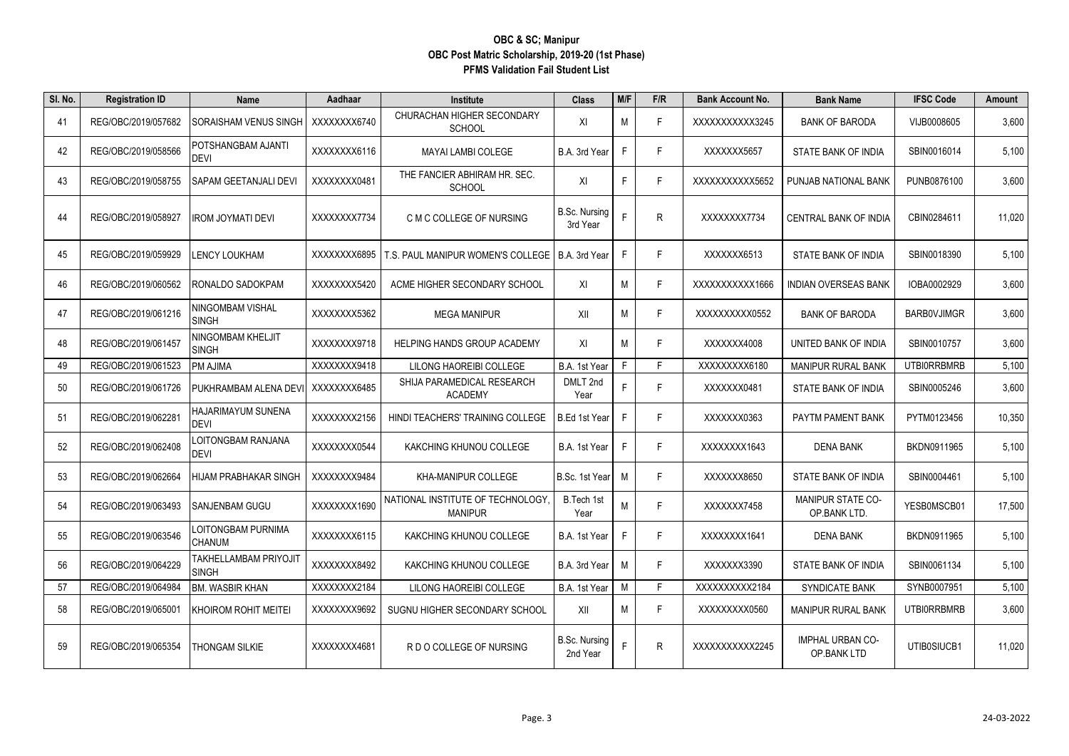| SI. No. | <b>Registration ID</b> | <b>Name</b>                         | Aadhaar      | Institute                                          | <b>Class</b>                     | M/F | F/R          | <b>Bank Account No.</b> | <b>Bank Name</b>                       | <b>IFSC Code</b>   | Amount |
|---------|------------------------|-------------------------------------|--------------|----------------------------------------------------|----------------------------------|-----|--------------|-------------------------|----------------------------------------|--------------------|--------|
| -41     | REG/OBC/2019/057682    | SORAISHAM VENUS SINGH               | XXXXXXXX6740 | CHURACHAN HIGHER SECONDARY<br><b>SCHOOL</b>        | XI                               | M   | F            | XXXXXXXXXX3245          | <b>BANK OF BARODA</b>                  | VIJB0008605        | 3,600  |
| 42      | REG/OBC/2019/058566    | POTSHANGBAM AJANTI<br>DEVI          | XXXXXXX6116  | <b>MAYAI LAMBI COLEGE</b>                          | B.A. 3rd Year                    | F.  | F.           | XXXXXX5657              | STATE BANK OF INDIA                    | SBIN0016014        | 5,100  |
| 43      | REG/OBC/2019/058755    | SAPAM GEETANJALI DEVI               | XXXXXXX0481  | THE FANCIER ABHIRAM HR. SEC.<br><b>SCHOOL</b>      | XI                               | F   | F.           | XXXXXXXXXX5652          | PUNJAB NATIONAL BANK                   | PUNB0876100        | 3,600  |
| 44      | REG/OBC/2019/058927    | IROM JOYMATI DEVI                   | XXXXXXX7734  | C M C COLLEGE OF NURSING                           | B.Sc. Nursing<br>3rd Year        | F   | $\mathsf{R}$ | XXXXXXX7734             | <b>CENTRAL BANK OF INDIA</b>           | CBIN0284611        | 11,020 |
| 45      | REG/OBC/2019/059929    | ENCY LOUKHAM.                       | XXXXXXX6895  | T.S. PAUL MANIPUR WOMEN'S COLLEGE                  | B.A. 3rd Year                    | F.  | F            | XXXXXX6513              | STATE BANK OF INDIA                    | SBIN0018390        | 5,100  |
| 46      | REG/OBC/2019/060562    | RONALDO SADOKPAM                    | XXXXXXXX5420 | ACME HIGHER SECONDARY SCHOOL                       | XI                               | M   | F            | XXXXXXXXXX1666          | <b>INDIAN OVERSEAS BANK</b>            | IOBA0002929        | 3,600  |
| 47      | REG/OBC/2019/061216    | NINGOMBAM VISHAL<br>SINGH           | XXXXXXX5362  | <b>MEGA MANIPUR</b>                                | XII                              | M   | F            | XXXXXXXXX0552           | <b>BANK OF BARODA</b>                  | BARB0VJIMGR        | 3,600  |
| 48      | REG/OBC/2019/061457    | NINGOMBAM KHELJIT<br>SINGH          | XXXXXXX9718  | <b>HELPING HANDS GROUP ACADEMY</b>                 | XI                               | M   | F.           | XXXXXX4008              | UNITED BANK OF INDIA                   | SBIN0010757        | 3,600  |
| 49      | REG/OBC/2019/061523    | PM AJIMA                            | XXXXXXX9418  | LILONG HAOREIBI COLLEGE                            | B.A. 1st Year                    | F.  | F            | XXXXXXXXX6180           | <b>MANIPUR RURAL BANK</b>              | <b>UTBIORRBMRB</b> | 5,100  |
| 50      | REG/OBC/2019/061726    | PUKHRAMBAM ALENA DEVI               | XXXXXXX6485  | SHIJA PARAMEDICAL RESEARCH<br><b>ACADEMY</b>       | DMLT 2nd<br>Year                 | F   | F            | XXXXXX0481              | STATE BANK OF INDIA                    | SBIN0005246        | 3,600  |
| 51      | REG/OBC/2019/062281    | HAJARIMAYUM SUNENA<br>DEVI          | XXXXXXX2156  | HINDI TEACHERS' TRAINING COLLEGE                   | <b>B.Ed 1st Year</b>             | F.  | F            | XXXXXX0363              | PAYTM PAMENT BANK                      | PYTM0123456        | 10,350 |
| 52      | REG/OBC/2019/062408    | OITONGBAM RANJANA.<br>DEVI          | XXXXXXX0544  | KAKCHING KHUNOU COLLEGE                            | B.A. 1st Year                    | F.  | F            | XXXXXXX1643             | <b>DENA BANK</b>                       | BKDN0911965        | 5,100  |
| 53      | REG/OBC/2019/062664    | HIJAM PRABHAKAR SINGH               | XXXXXXX9484  | KHA-MANIPUR COLLEGE                                | B.Sc. 1st Year                   | M   | F            | XXXXXXX8650             | STATE BANK OF INDIA                    | SBIN0004461        | 5,100  |
| 54      | REG/OBC/2019/063493    | SANJENBAM GUGU                      | XXXXXXX1690  | NATIONAL INSTITUTE OF TECHNOLOGY<br><b>MANIPUR</b> | B.Tech 1st<br>Year               | M   | F.           | XXXXXXX7458             | MANIPUR STATE CO-<br>OP.BANK LTD.      | YESB0MSCB01        | 17,500 |
| 55      | REG/OBC/2019/063546    | LOITONGBAM PURNIMA<br><b>CHANUM</b> | XXXXXXX6115  | KAKCHING KHUNOU COLLEGE                            | B.A. 1st Year                    | F.  | F            | XXXXXXX1641             | <b>DENA BANK</b>                       | BKDN0911965        | 5,100  |
| 56      | REG/OBC/2019/064229    | TAKHELLAMBAM PRIYOJIT<br>SINGH      | XXXXXXX8492  | KAKCHING KHUNOU COLLEGE                            | B.A. 3rd Year                    | M   | F            | XXXXXXX3390             | STATE BANK OF INDIA                    | SBIN0061134        | 5,100  |
| 57      | REG/OBC/2019/064984    | BM. WASBIR KHAN                     | XXXXXXX2184  | LILONG HAOREIBI COLLEGE                            | B.A. 1st Year                    | M   | F.           | XXXXXXXXX2184           | SYNDICATE BANK                         | SYNB0007951        | 5,100  |
| 58      | REG/OBC/2019/065001    | KHOIROM ROHIT MEITEI                | XXXXXXX9692  | SUGNU HIGHER SECONDARY SCHOOL                      | XII                              | M   | F            | XXXXXXXXX0560           | <b>MANIPUR RURAL BANK</b>              | <b>UTBIORRBMRB</b> | 3,600  |
| 59      | REG/OBC/2019/065354    | THONGAM SILKIE                      | XXXXXXX4681  | R D O COLLEGE OF NURSING                           | <b>B.Sc. Nursing</b><br>2nd Year |     | $\mathsf{R}$ | XXXXXXXXXX2245          | <b>IMPHAL URBAN CO-</b><br>OP.BANK LTD | UTIB0SIUCB1        | 11,020 |